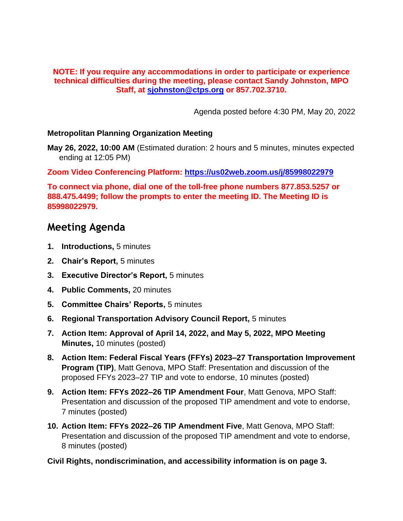### **NOTE: If you require any accommodations in order to participate or experience technical difficulties during the meeting, please contact Sandy Johnston, MPO Staff, at [sjohnston@ctps.org](mailto:sjohnston@ctps.org) or 857.702.3710.**

Agenda posted before 4:30 PM, May 20, 2022

## **Metropolitan Planning Organization Meeting**

**May 26, 2022, 10:00 AM** (Estimated duration: 2 hours and 5 minutes, minutes expected ending at 12:05 PM)

**Zoom Video Conferencing Platform:<https://us02web.zoom.us/j/85998022979>**

**To connect via phone, dial one of the toll-free phone numbers 877.853.5257 or 888.475.4499; follow the prompts to enter the meeting ID. The Meeting ID is 85998022979.**

# **Meeting Agenda**

- **1. Introductions,** 5 minutes
- **2. Chair's Report,** 5 minutes
- **3. Executive Director's Report,** 5 minutes
- **4. Public Comments,** 20 minutes
- **5. Committee Chairs' Reports,** 5 minutes
- **6. Regional Transportation Advisory Council Report,** 5 minutes
- **7. Action Item: Approval of April 14, 2022, and May 5, 2022, MPO Meeting Minutes,** 10 minutes (posted)
- **8. Action Item: Federal Fiscal Years (FFYs) 2023–27 Transportation Improvement Program (TIP)**, Matt Genova, MPO Staff: Presentation and discussion of the proposed FFYs 2023–27 TIP and vote to endorse, 10 minutes (posted)
- **9. Action Item: FFYs 2022–26 TIP Amendment Four**, Matt Genova, MPO Staff: Presentation and discussion of the proposed TIP amendment and vote to endorse, 7 minutes (posted)
- **10. Action Item: FFYs 2022–26 TIP Amendment Five**, Matt Genova, MPO Staff: Presentation and discussion of the proposed TIP amendment and vote to endorse, 8 minutes (posted)

**Civil Rights, nondiscrimination, and accessibility information is on page 3.**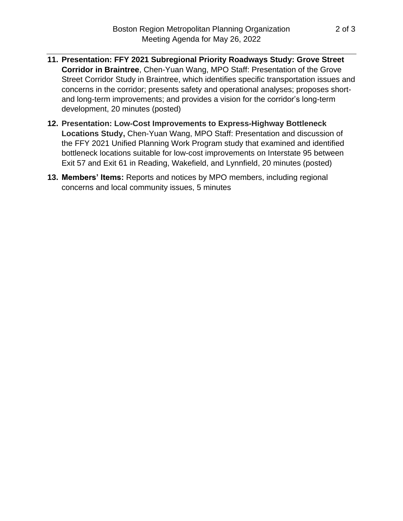- **11. Presentation: FFY 2021 Subregional Priority Roadways Study: Grove Street Corridor in Braintree**, Chen-Yuan Wang, MPO Staff: Presentation of the Grove Street Corridor Study in Braintree, which identifies specific transportation issues and concerns in the corridor; presents safety and operational analyses; proposes shortand long-term improvements; and provides a vision for the corridor's long-term development, 20 minutes (posted)
- **12. Presentation: Low-Cost Improvements to Express-Highway Bottleneck Locations Study,** Chen-Yuan Wang, MPO Staff: Presentation and discussion of the FFY 2021 Unified Planning Work Program study that examined and identified bottleneck locations suitable for low-cost improvements on Interstate 95 between Exit 57 and Exit 61 in Reading, Wakefield, and Lynnfield, 20 minutes (posted)
- **13. Members' Items:** Reports and notices by MPO members, including regional concerns and local community issues, 5 minutes